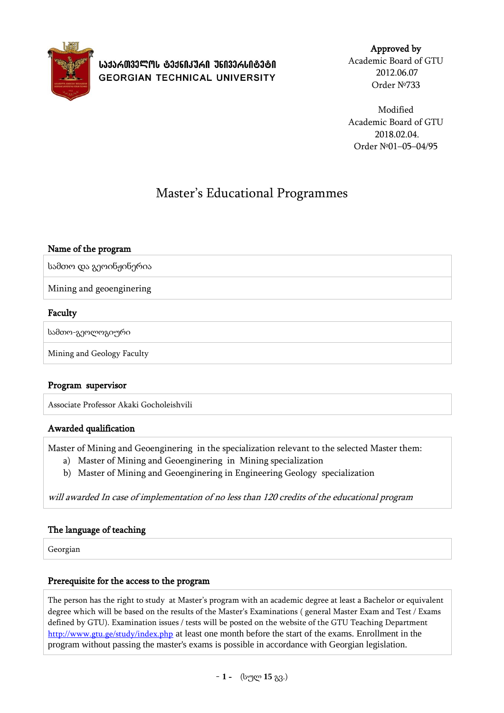

# **ᲡᲐᲥᲐᲠᲗᲕᲔᲚᲝᲡ ᲢᲔᲥᲜᲘᲙᲣᲠᲘ ᲣᲜᲘᲕᲔᲠᲡᲘᲢᲔᲢᲘ GEORGIAN TECHNICAL UNIVERSITY**

Approved by Academic Board of GTU 2012.06.07 Order №733

Modified Academic Board of GTU 2018.02.04. Order №01–05–04/95

# Master's Educational Programmes

## Name of the program

სამთო და გეოინჟინერია

Mining and geoenginering

### Faculty

სამთო-გეოლოგიური

Mining and Geology Faculty

### Program supervisor

Associate Professor Akaki Gocholeishvili

### Awarded qualification

Master of Mining and Geoenginering in the specialization relevant to the selected Master them:

- a) Master of Mining and Geoenginering in Mining specialization
- b) Master of Mining and Geoenginering in Engineering Geology specialization

will awarded In case of implementation of no less than 120 credits of the educational program

### The language of teaching

Georgian

### Prerequisite for the access to the program

The person has the right to study at Master's program with an academic degree at least a Bachelor or equivalent degree which will be based on the results of the Master's Examinations ( general Master Exam and Test / Exams defined by GTU). Examination issues / tests will be posted on the website of the GTU Teaching Department <http://www.gtu.ge/study/index.php> at least one month before the start of the exams. Enrollment in the program without passing the master's exams is possible in accordance with Georgian legislation.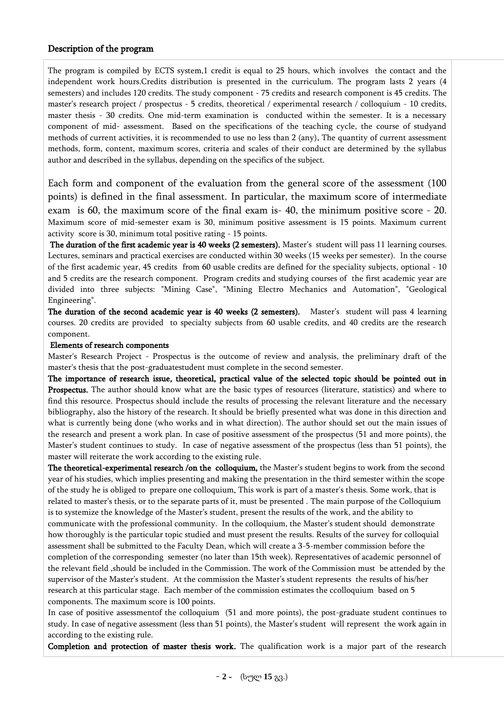#### Description of the program

The program is compiled by ECTS system,1 credit is equal to 25 hours, which involves the contact and the independent work hours.Credits distribution is presented in the curriculum. The program lasts 2 years (4 semesters) and includes 120 credits. The study component - 75 credits and research component is 45 credits. The master's research project / prospectus - 5 credits, theoretical / experimental research / colloquium - 10 credits, master thesis - 30 credits. One mid-term examination is conducted within the semester. It is a necessary component of mid- assessment. Based on the specifications of the teaching cycle, the course of studyand methods of current activities, it is recommended to use no less than 2 (any). The quantity of current assessment methods, form, content, maximum scores, criteria and scales of their conduct are determined by the syllabus author and described in the syllabus, depending on the specifics of the subject.

Each form and component of the evaluation from the general score of the assessment (100 points) is defined in the final assessment. In particular, the maximum score of intermediate exam is 60, the maximum score of the final exam is- 40, the minimum positive score - 20. Maximum score of mid-semester exam is 30, minimum positive assessment is 15 points. Maximum current activity score is 30, minimum total positive rating - 15 points.

The duration of the first academic year is 40 weeks (2 semesters). Master's student will pass 11 learning courses. Lectures, seminars and practical exercises are conducted within 30 weeks (15 weeks per semester). In the course of the first academic year, 45 credits from 60 usable credits are defined for the speciality subjects, optional - 10 and 5 credits are the research component. Program credits and studying courses of the first academic year are divided into three subjects: "Mining Case", "Mining Electro Mechanics and Automation", "Geological Engineering".

The duration of the second academic year is 40 weeks (2 semesters). Master's student will pass 4 learning courses. 20 credits are provided to specialty subjects from 60 usable credits, and 40 credits are the research component.

#### Elements of research components

Master's Research Project - Prospectus is the outcome of review and analysis, the preliminary draft of the master's thesis that the post-graduatestudent must complete in the second semester.

The importance of research issue, theoretical, practical value of the selected topic should be pointed out in Prospectus. The author should know what are the basic types of resources (literature, statistics) and where to find this resource. Prospectus should include the results of processing the relevant literature and the necessary bibliography, also the history of the research. It should be briefly presented what was done in this direction and what is currently being done (who works and in what direction). The author should set out the main issues of the research and present a work plan. In case of positive assessment of the prospectus (51 and more points), the Master's student continues to study. In case of negative assessment of the prospectus (less than 51 points), the master will reiterate the work according to the existing rule.

The theoretical-experimental research /on the colloquium, the Master's student begins to work from the second year of his studies, which implies presenting and making the presentation in the third semester within the scope of the study he is obliged to prepare one colloquium. This work is part of a master's thesis. Some work, that is related to master's thesis, or to the separate parts of it, must be presented . The main purpose of the Colloquium is to systemize the knowledge of the Master's student, present the results of the work, and the ability to communicate with the professional community. In the colloquium, the Master's student should demonstrate how thoroughly is the particular topic studied and must present the results. Results of the survey for colloquial assessment shall be submitted to the Faculty Dean, which will create a 3-5-member commission before the completion of the corresponding semester (no later than 15th week). Representatives of academic personnel of the relevant field ,should be included in the Commission. The work of the Commission must be attended by the supervisor of the Master's student. At the commission the Master's student represents the results of his/her research at this particular stage. Each member of the commission estimates the ccolloquium based on 5 components. The maximum score is 100 points.

In case of positive assessmentof the colloquium (51 and more points), the post-graduate student continues to study. In case of negative assessment (less than 51 points), the Master's student will represent the work again in according to the existing rule.

Completion and protection of master thesis work. The qualification work is a major part of the research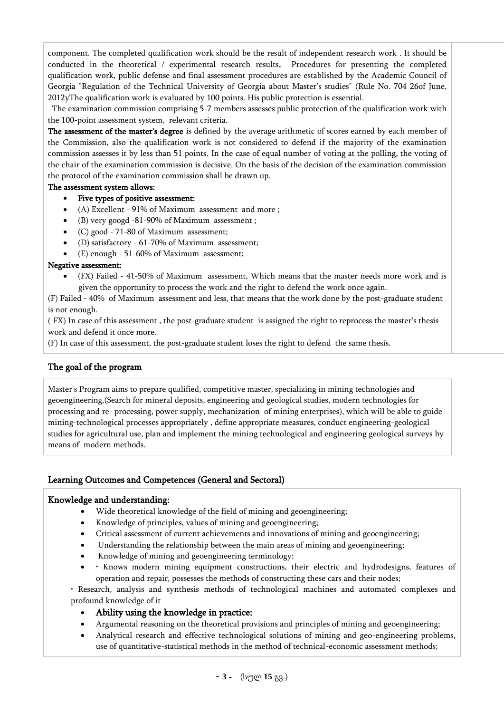component. The completed qualification work should be the result of independent research work . It should be conducted in the theoretical / experimental research results. Procedures for presenting the completed qualification work, public defense and final assessment procedures are established by the Academic Council of Georgia "Regulation of the Technical University of Georgia about Master's studies" (Rule No. 704 26of June, 2012yThe qualification work is evaluated by 100 points. His public protection is essential.

The examination commission comprising 5-7 members assesses public protection of the qualification work with the 100-point assessment system, relevant criteria.

The assessment of the master's degree is defined by the average arithmetic of scores earned by each member of the Commission, also the qualification work is not considered to defend if the majority of the examination commission assesses it by less than 51 points. In the case of equal number of voting at the polling, the voting of the chair of the examination commission is decisive. On the basis of the decision of the examination commission the protocol of the examination commission shall be drawn up.

#### The assessment system allows:

### Five types of positive assessment:

- (A) Excellent 91% of Maximum assessment and more ;
- (B) very googd -81-90% of Maximum assessment ;
- (C) good 71-80 of Maximum assessment;
- (D) satisfactory 61-70% of Maximum assessment;
- (E) enough 51-60% of Maximum assessment;

#### Negative assessment:

 (FX) Failed - 41-50% of Maximum assessment, Which means that the master needs more work and is given the opportunity to process the work and the right to defend the work once again.

(F) Failed - 40% of Maximum assessment and less, that means that the work done by the post-graduate student is not enough.

( FX) In case of this assessment , the post-graduate student is assigned the right to reprocess the master's thesis work and defend it once more.

(F) In case of this assessment, the post-graduate student loses the right to defend the same thesis.

### The goal of the program

Master's Program aims to prepare qualified, competitive master, specializing in mining technologies and geoengineering,(Search for mineral deposits, engineering and geological studies, modern technologies for processing and re- processing, power supply, mechanization of mining enterprises), which will be able to guide mining-technological processes appropriately , define appropriate measures, conduct engineering-geological studies for agricultural use, plan and implement the mining technological and engineering geological surveys by means of modern methods.

### Learning Outcomes and Competences (General and Sectoral)

### Knowledge and understanding:

- Wide theoretical knowledge of the field of mining and geoengineering;
- Knowledge of principles, values of mining and geoengineering;
- Critical assessment of current achievements and innovations of mining and geoengineering;
- Understanding the relationship between the main areas of mining and geoengineering;
- Knowledge of mining and geoengineering terminology;
- Knows modern mining equipment constructions, their electric and hydrodesigns, features of operation and repair, possesses the methods of constructing these cars and their nodes;

• Research, analysis and synthesis methods of technological machines and automated complexes and profound knowledge of it

- Ability using the knowledge in practice:
- Argumental reasoning on the theoretical provisions and principles of mining and geoengineering;
- Analytical research and effective technological solutions of mining and geo-engineering problems, use of quantitative-statistical methods in the method of technical-economic assessment methods;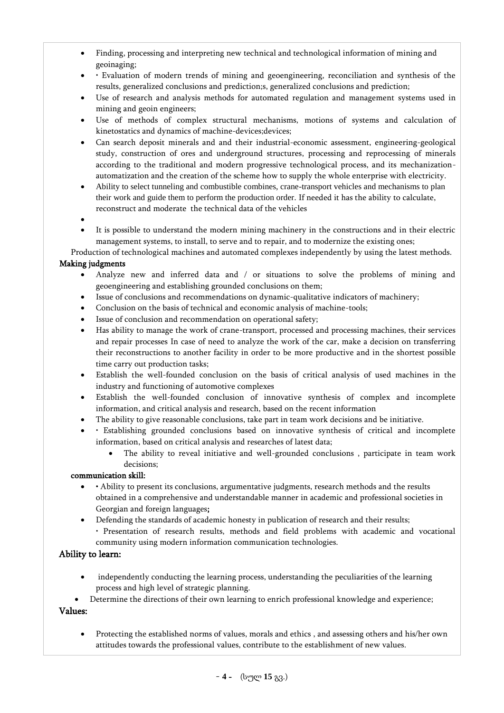- Finding, processing and interpreting new technical and technological information of mining and geoinaging;
- Evaluation of modern trends of mining and geoengineering, reconciliation and synthesis of the results, generalized conclusions and prediction;s, generalized conclusions and prediction;
- Use of research and analysis methods for automated regulation and management systems used in mining and geoin engineers;
- Use of methods of complex structural mechanisms, motions of systems and calculation of kinetostatics and dynamics of machine-devices;devices;
- Can search deposit minerals and and their industrial-economic assessment, engineering-geological study, construction of ores and underground structures, processing and reprocessing of minerals according to the traditional and modern progressive technological process, and its mechanizationautomatization and the creation of the scheme how to supply the whole enterprise with electricity.
- Ability to select tunneling and combustible combines, crane-transport vehicles and mechanisms to plan their work and guide them to perform the production order. If needed it has the ability to calculate, reconstruct and moderate the technical data of the vehicles
- $\bullet$
- It is possible to understand the modern mining machinery in the constructions and in their electric management systems, to install, to serve and to repair, and to modernize the existing ones;

Production of technological machines and automated complexes independently by using the latest methods.

## Making judgments

- Analyze new and inferred data and / or situations to solve the problems of mining and geoengineering and establishing grounded conclusions on them;
- Issue of conclusions and recommendations on dynamic-qualitative indicators of machinery;
- Conclusion on the basis of technical and economic analysis of machine-tools;
- Issue of conclusion and recommendation on operational safety;
- Has ability to manage the work of crane-transport, processed and processing machines, their services and repair processes In case of need to analyze the work of the car, make a decision on transferring their reconstructions to another facility in order to be more productive and in the shortest possible time carry out production tasks;
- Establish the well-founded conclusion on the basis of critical analysis of used machines in the industry and functioning of automotive complexes
- Establish the well-founded conclusion of innovative synthesis of complex and incomplete information, and critical analysis and research, based on the recent information
- The ability to give reasonable conclusions, take part in team work decisions and be initiative.
- Establishing grounded conclusions based on innovative synthesis of critical and incomplete information, based on critical analysis and researches of latest data;
	- The ability to reveal initiative and well-grounded conclusions , participate in team work decisions;

### communication skill:

- Ability to present its conclusions, argumentative judgments, research methods and the results obtained in a comprehensive and understandable manner in academic and professional societies in Georgian and foreign languages;
	- Defending the standards of academic honesty in publication of research and their results;
	- Presentation of research results, methods and field problems with academic and vocational community using modern information communication technologies.

### Ability to learn:

- independently conducting the learning process, understanding the peculiarities of the learning process and high level of strategic planning.
- Determine the directions of their own learning to enrich professional knowledge and experience;

### Values:

 Protecting the established norms of values, morals and ethics , and assessing others and his/her own attitudes towards the professional values, contribute to the establishment of new values.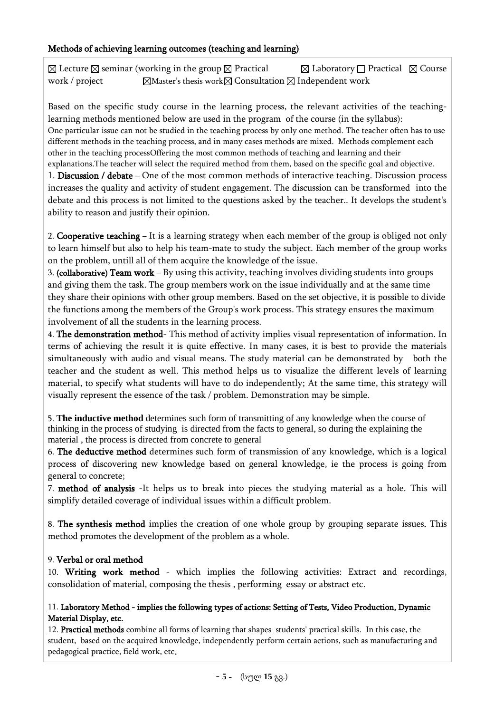# Methods of achieving learning outcomes (teaching and learning)

 $\boxtimes$  Lecture  $\boxtimes$  seminar (working in the group  $\boxtimes$  Practical  $\boxtimes$  Laboratory  $\Box$  Practical  $\boxtimes$  Course work / project  $\Box$  Master's thesis work  $\Box$  Consultation  $\Box$  Independent work

Based on the specific study course in the learning process, the relevant activities of the teachinglearning methods mentioned below are used in the program of the course (in the syllabus): One particular issue can not be studied in the teaching process by only one method. The teacher often has to use different methods in the teaching process, and in many cases methods are mixed. Methods complement each other in the teaching processOffering the most common methods of teaching and learning and their explanations.The teacher will select the required method from them, based on the specific goal and objective.

1. Discussion / debate – One of the most common methods of interactive teaching. Discussion process increases the quality and activity of student engagement. The discussion can be transformed into the debate and this process is not limited to the questions asked by the teacher.. It develops the student's ability to reason and justify their opinion.

2. Cooperative teaching – It is a learning strategy when each member of the group is obliged not only to learn himself but also to help his team-mate to study the subject. Each member of the group works on the problem, untill all of them acquire the knowledge of the issue.

3. (collaborative) Team work – By using this activity, teaching involves dividing students into groups and giving them the task. The group members work on the issue individually and at the same time they share their opinions with other group members. Based on the set objective, it is possible to divide the functions among the members of the Group's work process. This strategy ensures the maximum involvement of all the students in the learning process.

4. The demonstration method- This method of activity implies visual representation of information. In terms of achieving the result it is quite effective. In many cases, it is best to provide the materials simultaneously with audio and visual means. The study material can be demonstrated by both the teacher and the student as well. This method helps us to visualize the different levels of learning material, to specify what students will have to do independently; At the same time, this strategy will visually represent the essence of the task / problem. Demonstration may be simple.

5. **The inductive method** determines such form of transmitting of any knowledge when the course of thinking in the process of studying is directed from the facts to general, so during the explaining the material , the process is directed from concrete to general

6. The deductive method determines such form of transmission of any knowledge, which is a logical process of discovering new knowledge based on general knowledge, ie the process is going from general to concrete;

7. method of analysis -It helps us to break into pieces the studying material as a hole. This will simplify detailed coverage of individual issues within a difficult problem.

8. The synthesis method implies the creation of one whole group by grouping separate issues. This method promotes the development of the problem as a whole.

# 9. Verbal or oral method

10. Writing work method - which implies the following activities: Extract and recordings, consolidation of material, composing the thesis , performing essay or abstract etc.

### 11. Laboratory Method - implies the following types of actions: Setting of Tests, Video Production, Dynamic Material Display, etc.

12. Practical methods combine all forms of learning that shapes students' practical skills. In this case, the student, based on the acquired knowledge, independently perform certain actions, such as manufacturing and pedagogical practice, field work, etc.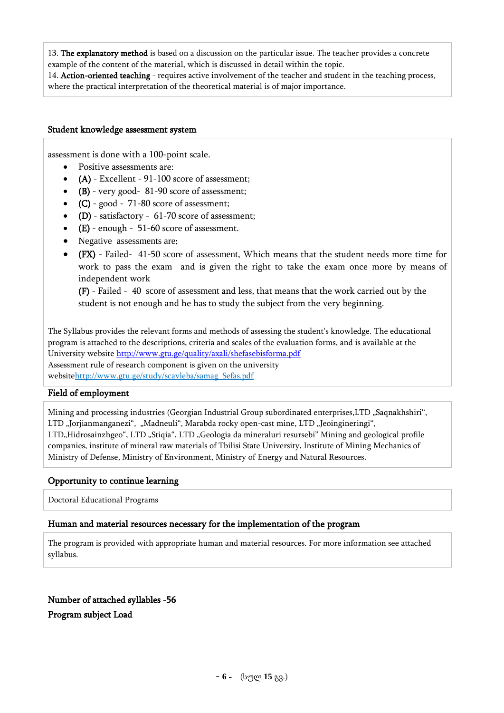13. The explanatory method is based on a discussion on the particular issue. The teacher provides a concrete example of the content of the material, which is discussed in detail within the topic.

14. Action-oriented teaching - requires active involvement of the teacher and student in the teaching process, where the practical interpretation of the theoretical material is of major importance.

#### Student knowledge assessment system

assessment is done with a 100-point scale.

- Positive assessments are:
- (A) Excellent 91-100 score of assessment;
- (B) very good- 81-90 score of assessment;
- $\bullet$  (C) good 71-80 score of assessment;
- $\bullet$  (D) satisfactory 61-70 score of assessment;
- (E) enough 51-60 score of assessment.
- Negative assessments are:
- (FX) Failed- 41-50 score of assessment, Which means that the student needs more time for work to pass the exam and is given the right to take the exam once more by means of independent work

(F) - Failed - 40 score of assessment and less, that means that the work carried out by the student is not enough and he has to study the subject from the very beginning.

The Syllabus provides the relevant forms and methods of assessing the student's knowledge. The educational program is attached to the descriptions, criteria and scales of the evaluation forms, and is available at the University website<http://www.gtu.ge/quality/axali/shefasebisforma.pdf> Assessment rule of research component is given on the university websit[ehttp://www.gtu.ge/study/scavleba/samag\\_Sefas.pdf](http://www.gtu.ge/study/scavleba/samag_Sefas.pdf)

#### Field of employment

Mining and processing industries (Georgian Industrial Group subordinated enterprises, LTD "Saqnakhshiri", LTD "Jorjianmanganezi", "Madneuli", Marabda rocky open-cast mine, LTD "Jeoingineringi", LTD"Hidrosainzhgeo", LTD "Stiqia", LTD "Geologia da mineraluri resursebi" Mining and geological profile companies, institute of mineral raw materials of Tbilisi State University, Institute of Mining Mechanics of Ministry of Defense, Ministry of Environment, Ministry of Energy and Natural Resources.

#### Opportunity to continue learning

Doctoral Educational Programs

#### Human and material resources necessary for the implementation of the program

The program is provided with appropriate human and material resources. For more information see attached syllabus.

Number of attached syllables -56 Program subject Load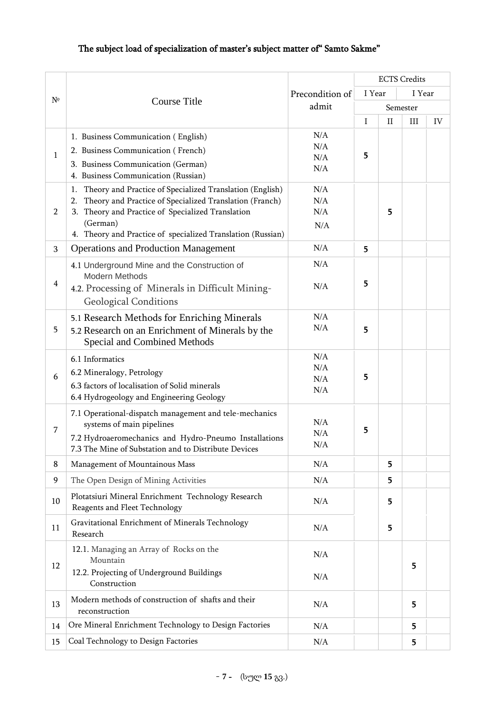# The subject load of specialization of master's subject matter of" Samto Sakme"

|                |                                                                                                                 |                 |        |          | <b>ECTS</b> Credits |    |
|----------------|-----------------------------------------------------------------------------------------------------------------|-----------------|--------|----------|---------------------|----|
|                |                                                                                                                 | Precondition of | I Year |          | I Year              |    |
| $N^{\circ}$    | Course Title                                                                                                    | admit           |        |          | Semester            |    |
|                |                                                                                                                 |                 | I      | $\rm II$ | III                 | IV |
|                | 1. Business Communication (English)                                                                             | N/A             |        |          |                     |    |
|                |                                                                                                                 | N/A             |        |          |                     |    |
| $\mathbf{1}$   | 2. Business Communication (French)                                                                              | N/A             | 5      |          |                     |    |
|                | 3. Business Communication (German)                                                                              | N/A             |        |          |                     |    |
|                | 4. Business Communication (Russian)                                                                             |                 |        |          |                     |    |
|                | Theory and Practice of Specialized Translation (English)<br>1.<br>2.                                            | N/A<br>N/A      |        |          |                     |    |
| $\overline{2}$ | Theory and Practice of Specialized Translation (Franch)<br>Theory and Practice of Specialized Translation<br>3. | N/A             |        | 5        |                     |    |
|                | (German)                                                                                                        | N/A             |        |          |                     |    |
|                | 4. Theory and Practice of specialized Translation (Russian)                                                     |                 |        |          |                     |    |
| 3              | <b>Operations and Production Management</b>                                                                     | N/A             | 5      |          |                     |    |
|                | 4.1 Underground Mine and the Construction of                                                                    | N/A             |        |          |                     |    |
| $\overline{4}$ | <b>Modern Methods</b>                                                                                           |                 | 5      |          |                     |    |
|                | 4.2. Processing of Minerals in Difficult Mining-                                                                | N/A             |        |          |                     |    |
|                | <b>Geological Conditions</b>                                                                                    |                 |        |          |                     |    |
|                | 5.1 Research Methods for Enriching Minerals                                                                     | N/A             |        |          |                     |    |
| 5              | 5.2 Research on an Enrichment of Minerals by the                                                                | N/A             | 5      |          |                     |    |
|                | Special and Combined Methods                                                                                    |                 |        |          |                     |    |
|                | 6.1 Informatics                                                                                                 | N/A             |        |          |                     |    |
| 6              | 6.2 Mineralogy, Petrology                                                                                       | N/A             | 5      |          |                     |    |
|                | 6.3 factors of localisation of Solid minerals                                                                   | N/A<br>N/A      |        |          |                     |    |
|                | 6.4 Hydrogeology and Engineering Geology                                                                        |                 |        |          |                     |    |
|                | 7.1 Operational-dispatch management and tele-mechanics                                                          |                 |        |          |                     |    |
| $\overline{7}$ | systems of main pipelines                                                                                       | N/A             |        |          |                     |    |
|                | 7.2 Hydroaeromechanics and Hydro-Pneumo Installations                                                           | N/A             | 5      |          |                     |    |
|                | 7.3 The Mine of Substation and to Distribute Devices                                                            | N/A             |        |          |                     |    |
| 8              | Management of Mountainous Mass                                                                                  | N/A             |        | 5        |                     |    |
| 9              | The Open Design of Mining Activities                                                                            | N/A             |        | 5        |                     |    |
| 10             | Plotatsiuri Mineral Enrichment Technology Research                                                              | N/A             |        | 5        |                     |    |
|                | Reagents and Fleet Technology                                                                                   |                 |        |          |                     |    |
| 11             | Gravitational Enrichment of Minerals Technology<br>Research                                                     | N/A             |        | 5        |                     |    |
|                |                                                                                                                 |                 |        |          |                     |    |
|                | 12.1. Managing an Array of Rocks on the<br>Mountain                                                             | N/A             |        |          |                     |    |
| 12             | 12.2. Projecting of Underground Buildings                                                                       |                 |        |          | 5                   |    |
|                | Construction                                                                                                    | N/A             |        |          |                     |    |
|                | Modern methods of construction of shafts and their                                                              |                 |        |          |                     |    |
| 13             | reconstruction                                                                                                  | N/A             |        |          | 5                   |    |
| 14             | Ore Mineral Enrichment Technology to Design Factories                                                           | N/A             |        |          | 5                   |    |
| 15             | Coal Technology to Design Factories                                                                             | N/A             |        |          | 5                   |    |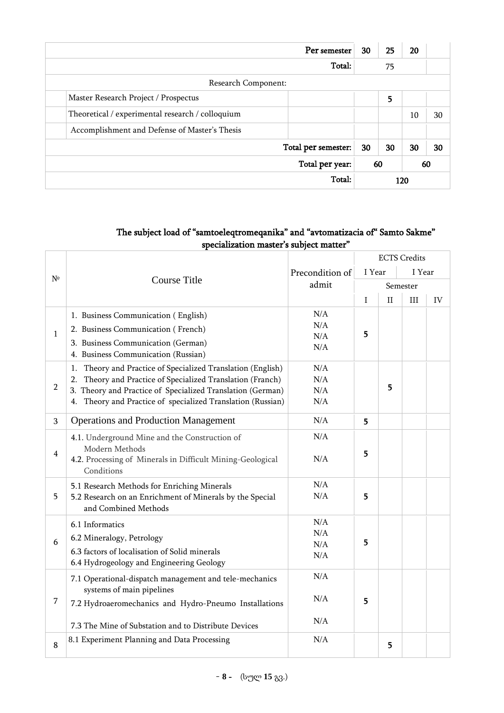|                                                  | Per semester        | 30 | 25 | 20  |    |  |  |  |
|--------------------------------------------------|---------------------|----|----|-----|----|--|--|--|
|                                                  |                     | 75 |    |     |    |  |  |  |
| Research Component:                              |                     |    |    |     |    |  |  |  |
| Master Research Project / Prospectus             | 5                   |    |    |     |    |  |  |  |
| Theoretical / experimental research / colloquium |                     |    | 10 | 30  |    |  |  |  |
| Accomplishment and Defense of Master's Thesis    |                     |    |    |     |    |  |  |  |
|                                                  | Total per semester: | 30 | 30 | 30  | 30 |  |  |  |
| Total per year:<br>60<br>60                      |                     |    |    |     |    |  |  |  |
|                                                  | Total:              |    |    | 120 |    |  |  |  |

# The subject load of "samtoeleqtromeqanika" and "avtomatizacia of" Samto Sakme" specialization master's subject matter"

|                |                                                                |                 |        |              | <b>ECTS</b> Credits |    |
|----------------|----------------------------------------------------------------|-----------------|--------|--------------|---------------------|----|
|                |                                                                | Precondition of | I Year |              | I Year              |    |
| $N^{\circ}$    | Course Title                                                   | admit           |        |              | Semester            |    |
|                |                                                                |                 | I      | $\mathbf{I}$ | III                 | IV |
|                | 1. Business Communication (English)                            | N/A             |        |              |                     |    |
|                | 2. Business Communication (French)                             | N/A             |        |              |                     |    |
| $\mathbf{1}$   | 3. Business Communication (German)                             | N/A             | 5      |              |                     |    |
|                | 4. Business Communication (Russian)                            | N/A             |        |              |                     |    |
|                | Theory and Practice of Specialized Translation (English)<br>1. | N/A             |        |              |                     |    |
|                | Theory and Practice of Specialized Translation (Franch)<br>2.  | N/A             |        |              |                     |    |
| $\overline{2}$ | 3. Theory and Practice of Specialized Translation (German)     | N/A             |        | 5            |                     |    |
|                | 4. Theory and Practice of specialized Translation (Russian)    | N/A             |        |              |                     |    |
| 3              | <b>Operations and Production Management</b>                    | N/A             | 5      |              |                     |    |
|                | 4.1. Underground Mine and the Construction of                  | N/A             |        |              |                     |    |
| $\overline{4}$ | Modern Methods                                                 |                 | 5      |              |                     |    |
|                | 4.2. Processing of Minerals in Difficult Mining-Geological     | N/A             |        |              |                     |    |
|                | Conditions                                                     |                 |        |              |                     |    |
|                | 5.1 Research Methods for Enriching Minerals                    | N/A             |        |              |                     |    |
| 5              | 5.2 Research on an Enrichment of Minerals by the Special       | N/A             | 5      |              |                     |    |
|                | and Combined Methods                                           |                 |        |              |                     |    |
|                | 6.1 Informatics                                                | $\rm N/A$       |        |              |                     |    |
|                | 6.2 Mineralogy, Petrology                                      | N/A             |        |              |                     |    |
| 6              | 6.3 factors of localisation of Solid minerals                  | $\rm N/A$       | 5      |              |                     |    |
|                | 6.4 Hydrogeology and Engineering Geology                       | N/A             |        |              |                     |    |
|                | 7.1 Operational-dispatch management and tele-mechanics         | N/A             |        |              |                     |    |
|                | systems of main pipelines                                      |                 |        |              |                     |    |
| 7              | 7.2 Hydroaeromechanics and Hydro-Pneumo Installations          | N/A             | 5      |              |                     |    |
|                |                                                                |                 |        |              |                     |    |
|                | 7.3 The Mine of Substation and to Distribute Devices           | $\rm N/A$       |        |              |                     |    |
| 8              | 8.1 Experiment Planning and Data Processing                    | N/A             |        | 5            |                     |    |
|                |                                                                |                 |        |              |                     |    |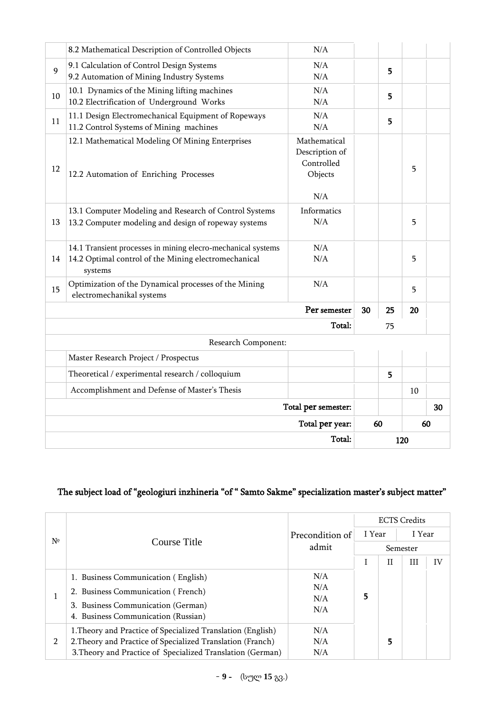|    | 8.2 Mathematical Description of Controlled Objects                                                                              | N/A                                                            |    |     |    |  |
|----|---------------------------------------------------------------------------------------------------------------------------------|----------------------------------------------------------------|----|-----|----|--|
| 9  | 9.1 Calculation of Control Design Systems<br>9.2 Automation of Mining Industry Systems                                          | N/A<br>N/A                                                     |    | 5   |    |  |
| 10 | 10.1 Dynamics of the Mining lifting machines<br>10.2 Electrification of Underground Works                                       | N/A<br>N/A                                                     |    | 5   |    |  |
| 11 | 11.1 Design Electromechanical Equipment of Ropeways<br>11.2 Control Systems of Mining machines                                  | N/A<br>N/A                                                     |    | 5   |    |  |
| 12 | 12.1 Mathematical Modeling Of Mining Enterprises<br>12.2 Automation of Enriching Processes                                      | Mathematical<br>Description of<br>Controlled<br>Objects<br>N/A |    |     | 5  |  |
| 13 | 13.1 Computer Modeling and Research of Control Systems<br>13.2 Computer modeling and design of ropeway systems                  | Informatics<br>N/A                                             |    |     | 5  |  |
| 14 | 14.1 Transient processes in mining elecro-mechanical systems<br>14.2 Optimal control of the Mining electromechanical<br>systems | N/A<br>N/A                                                     |    |     | 5  |  |
| 15 | Optimization of the Dynamical processes of the Mining<br>electromechanikal systems                                              | N/A                                                            |    |     | 5  |  |
|    |                                                                                                                                 | Per semester                                                   | 30 | 25  | 20 |  |
|    |                                                                                                                                 | Total:                                                         |    | 75  |    |  |
|    | Research Component:                                                                                                             |                                                                |    |     |    |  |
|    | Master Research Project / Prospectus                                                                                            |                                                                |    |     |    |  |
|    | Theoretical / experimental research / colloquium                                                                                |                                                                |    | 5   |    |  |
|    | Accomplishment and Defense of Master's Thesis                                                                                   |                                                                |    |     | 10 |  |
|    | Total per semester:                                                                                                             |                                                                |    |     | 30 |  |
|    |                                                                                                                                 | Total per year:<br>60                                          |    | 60  |    |  |
|    |                                                                                                                                 |                                                                |    | 120 |    |  |

### The subject load of "geologiuri inzhineria "of " Samto Sakme" specialization master's subject matter"

|                |                                                                           |            |          |   | <b>ECTS Credits</b> |    |  |
|----------------|---------------------------------------------------------------------------|------------|----------|---|---------------------|----|--|
| Nº             | Precondition of<br>Course Title<br>admit                                  |            | I Year   |   | I Year              |    |  |
|                |                                                                           |            | Semester |   |                     |    |  |
|                |                                                                           |            |          | П | Ш                   | IV |  |
|                | 1. Business Communication (English)                                       | N/A        |          |   |                     |    |  |
|                | 2. Business Communication (French)                                        | N/A<br>N/A |          |   |                     |    |  |
|                | 3. Business Communication (German)<br>4. Business Communication (Russian) | N/A        | 5        |   |                     |    |  |
|                | 1. Theory and Practice of Specialized Translation (English)               | N/A        |          |   |                     |    |  |
| $\overline{2}$ | 2. Theory and Practice of Specialized Translation (Franch)                | N/A        |          | 5 |                     |    |  |
|                | 3. Theory and Practice of Specialized Translation (German)                | N/A        |          |   |                     |    |  |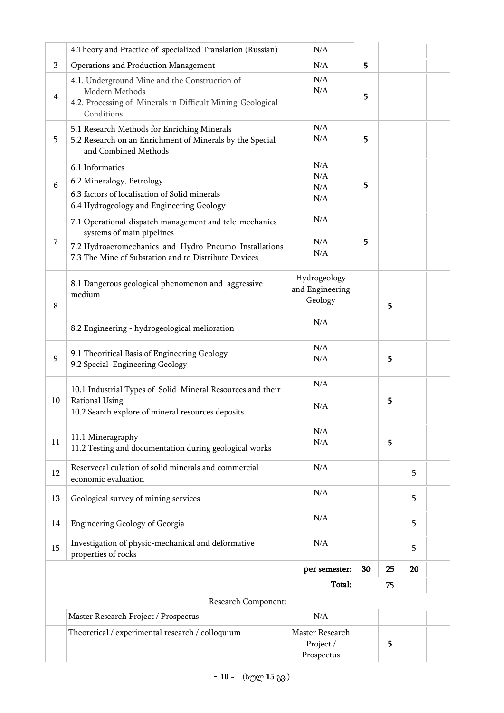|                | 4. Theory and Practice of specialized Translation (Russian)                                                                                                                                          | N/A                                               |    |    |    |  |
|----------------|------------------------------------------------------------------------------------------------------------------------------------------------------------------------------------------------------|---------------------------------------------------|----|----|----|--|
| 3              | Operations and Production Management                                                                                                                                                                 | $\rm N/A$                                         | 5  |    |    |  |
| $\overline{4}$ | 4.1. Underground Mine and the Construction of<br>Modern Methods<br>4.2. Processing of Minerals in Difficult Mining-Geological<br>Conditions                                                          | N/A<br>N/A                                        | 5  |    |    |  |
| 5              | 5.1 Research Methods for Enriching Minerals<br>5.2 Research on an Enrichment of Minerals by the Special<br>and Combined Methods                                                                      | N/A<br>N/A                                        | 5  |    |    |  |
| 6              | 6.1 Informatics<br>6.2 Mineralogy, Petrology<br>6.3 factors of localisation of Solid minerals<br>6.4 Hydrogeology and Engineering Geology                                                            | N/A<br>N/A<br>N/A<br>N/A                          | 5  |    |    |  |
| 7              | 7.1 Operational-dispatch management and tele-mechanics<br>systems of main pipelines<br>7.2 Hydroaeromechanics and Hydro-Pneumo Installations<br>7.3 The Mine of Substation and to Distribute Devices | N/A<br>N/A<br>N/A                                 | 5  |    |    |  |
| 8              | 8.1 Dangerous geological phenomenon and aggressive<br>medium<br>8.2 Engineering - hydrogeological melioration                                                                                        | Hydrogeology<br>and Engineering<br>Geology<br>N/A |    | 5  |    |  |
| 9              | 9.1 Theoritical Basis of Engineering Geology<br>9.2 Special Engineering Geology                                                                                                                      | N/A<br>N/A                                        |    | 5  |    |  |
| 10             | 10.1 Industrial Types of Solid Mineral Resources and their<br><b>Rational Using</b><br>10.2 Search explore of mineral resources deposits                                                             | N/A<br>N/A                                        |    | 5  |    |  |
| 11             | 11.1 Mineragraphy<br>11.2 Testing and documentation during geological works                                                                                                                          | N/A<br>N/A                                        |    | 5  |    |  |
| 12             | Reservecal culation of solid minerals and commercial-<br>economic evaluation                                                                                                                         | N/A                                               |    |    | 5  |  |
| 13             | Geological survey of mining services                                                                                                                                                                 | N/A                                               |    |    | 5  |  |
| 14             | Engineering Geology of Georgia                                                                                                                                                                       | N/A                                               |    |    | 5  |  |
| 15             | Investigation of physic-mechanical and deformative<br>properties of rocks                                                                                                                            | N/A                                               |    |    | 5  |  |
|                |                                                                                                                                                                                                      | per semester:                                     | 30 | 25 | 20 |  |
|                |                                                                                                                                                                                                      | Total:                                            |    | 75 |    |  |
|                | Research Component:                                                                                                                                                                                  |                                                   |    |    |    |  |
|                | Master Research Project / Prospectus                                                                                                                                                                 | N/A                                               |    |    |    |  |
|                | Theoretical / experimental research / colloquium                                                                                                                                                     | Master Research<br>Project /<br>Prospectus        |    | 5  |    |  |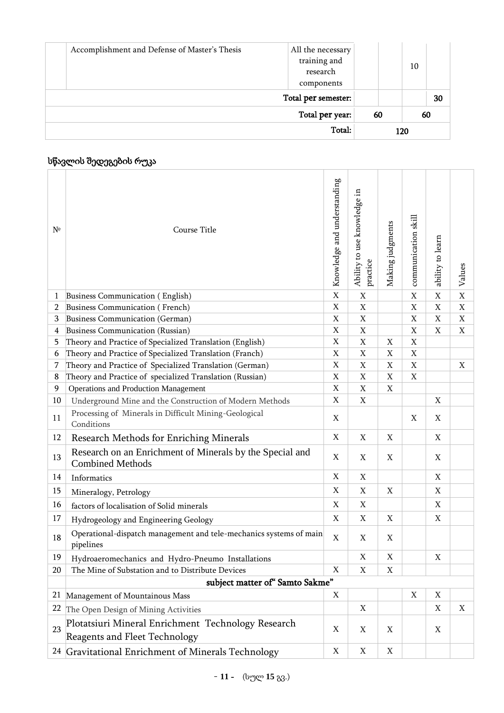|                                               |                                   | 120 |    |    |
|-----------------------------------------------|-----------------------------------|-----|----|----|
|                                               | 60                                |     | 60 |    |
|                                               | Total per semester:               |     |    | 30 |
|                                               | research<br>components            |     | 10 |    |
| Accomplishment and Defense of Master's Thesis | All the necessary<br>training and |     |    |    |

# სწავლის შედეგების რუკა

| $N^{\circ}$    | Course Title                                                                        | Knowledge and understanding | Ability to use knowledge in<br>practice | Making judgments          | communication skill       | ability to learn | Values      |
|----------------|-------------------------------------------------------------------------------------|-----------------------------|-----------------------------------------|---------------------------|---------------------------|------------------|-------------|
| 1              | Business Communication (English)                                                    | $\mathbf X$                 | $\boldsymbol{\mathrm{X}}$               |                           | $\mathbf X$               | $\mathbf X$      | $\mathbf X$ |
| $\overline{2}$ | Business Communication (French)                                                     | $\mathbf X$                 | $\mathbf X$                             |                           | $\mathbf X$               | $\mathbf X$      | $\mathbf X$ |
| 3              | Business Communication (German)                                                     | $\mathbf X$                 | $\mathbf X$                             |                           | $\mathbf X$               | $\mathbf X$      | $\mathbf X$ |
| 4              | Business Communication (Russian)                                                    | $\boldsymbol{\mathrm{X}}$   | $\boldsymbol{\mathrm{X}}$               |                           | X                         | X                | X           |
| 5.             | Theory and Practice of Specialized Translation (English)                            | $\mathbf X$                 | $\mathbf X$                             | X                         | X                         |                  |             |
| 6              | Theory and Practice of Specialized Translation (Franch)                             | $\mathbf X$                 | X                                       | X                         | $\boldsymbol{\mathrm{X}}$ |                  |             |
| 7              | Theory and Practice of Specialized Translation (German)                             | $\mathbf X$                 | X                                       | X                         | X                         |                  | X           |
| 8              | Theory and Practice of specialized Translation (Russian)                            | $\mathbf X$                 | X                                       | X                         | X                         |                  |             |
| 9              | <b>Operations and Production Management</b>                                         | $\mathbf X$                 | X                                       | $\mathbf X$               |                           |                  |             |
| 10             | Underground Mine and the Construction of Modern Methods                             | $\mathbf X$                 | $\mathbf X$                             |                           |                           | X                |             |
| 11             | Processing of Minerals in Difficult Mining-Geological<br>Conditions                 | $\mathbf X$                 |                                         |                           | $\mathbf X$               | X                |             |
| 12             | Research Methods for Enriching Minerals                                             | $\mathbf X$                 | X                                       | X                         |                           | $\mathbf X$      |             |
| 13             | Research on an Enrichment of Minerals by the Special and<br><b>Combined Methods</b> | $\mathbf X$                 | $\mathbf X$                             | $\mathbf X$               |                           | $\mathbf X$      |             |
| 14             | Informatics                                                                         | X                           | X                                       |                           |                           | $\mathbf X$      |             |
| 15             | Mineralogy, Petrology                                                               | $\mathbf X$                 | X                                       | X                         |                           | X                |             |
| 16             | factors of localisation of Solid minerals                                           | $\mathbf X$                 | X                                       |                           |                           | X                |             |
| 17             | Hydrogeology and Engineering Geology                                                | $\mathbf X$                 | X                                       | X                         |                           | X                |             |
| 18             | Operational-dispatch management and tele-mechanics systems of main<br>pipelines     | $\mathbf X$                 | X                                       | X                         |                           |                  |             |
| 19             | Hydroaeromechanics and Hydro-Pneumo Installations                                   |                             | $\boldsymbol{\mathrm{X}}$               | $\boldsymbol{\mathrm{X}}$ |                           | X                |             |
| 20             | The Mine of Substation and to Distribute Devices                                    | X                           | X                                       | X                         |                           |                  |             |
|                | subject matter of "Samto Sakme"                                                     |                             |                                         |                           |                           |                  |             |
|                | 21 Management of Mountainous Mass                                                   | X                           |                                         |                           | X                         | X                |             |
| 22             | The Open Design of Mining Activities                                                |                             | X                                       |                           |                           | X                | X           |
|                | Plotatsiuri Mineral Enrichment Technology Research                                  |                             |                                         |                           |                           |                  |             |
| 23             | Reagents and Fleet Technology                                                       | X                           | X                                       | X                         |                           | X                |             |
|                | <sup>24</sup> Gravitational Enrichment of Minerals Technology                       | X                           | X                                       | X                         |                           |                  |             |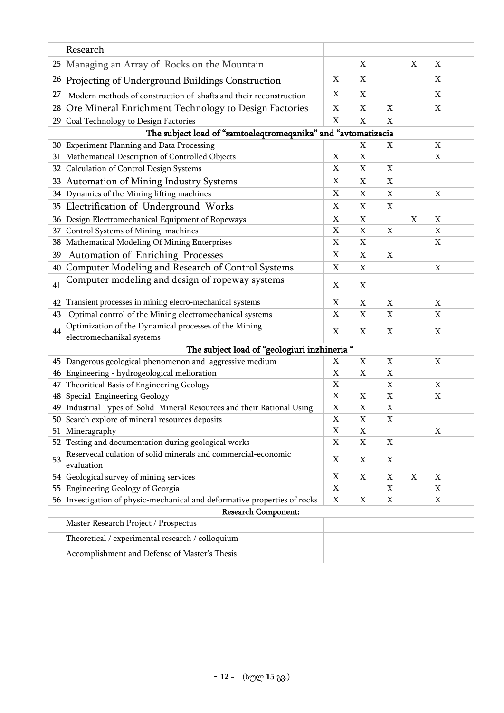|    | Research                                                                           |                           |             |   |   |             |  |
|----|------------------------------------------------------------------------------------|---------------------------|-------------|---|---|-------------|--|
| 25 | Managing an Array of Rocks on the Mountain                                         |                           | X           |   | X | Χ           |  |
| 26 | Projecting of Underground Buildings Construction                                   | X                         | X           |   |   | X           |  |
| 27 | Modern methods of construction of shafts and their reconstruction                  | X                         | X           |   |   | Χ           |  |
| 28 | Ore Mineral Enrichment Technology to Design Factories                              | X                         | X           | X |   | X           |  |
| 29 | Coal Technology to Design Factories                                                | $\mathbf X$               | X           | X |   |             |  |
|    | The subject load of "samtoeleqtromeqanika" and "avtomatizacia                      |                           |             |   |   |             |  |
|    | 30 Experiment Planning and Data Processing                                         |                           | X           | X |   | Χ           |  |
|    | 31 Mathematical Description of Controlled Objects                                  | $\mathbf X$               | $\mathbf X$ |   |   | X           |  |
|    | 32 Calculation of Control Design Systems                                           | X                         | X           | X |   |             |  |
| 33 | Automation of Mining Industry Systems                                              | $\boldsymbol{\mathrm{X}}$ | X           | X |   |             |  |
|    | 34 Dynamics of the Mining lifting machines                                         | X                         | X           | X |   | Χ           |  |
| 35 | Electrification of Underground Works                                               | $\mathbf X$               | X           | X |   |             |  |
| 36 | Design Electromechanical Equipment of Ropeways                                     | $\mathbf X$               | X           |   | X | X           |  |
| 37 | Control Systems of Mining machines                                                 | $\mathbf X$               | X           | X |   | X           |  |
| 38 | Mathematical Modeling Of Mining Enterprises                                        | $\mathbf X$               | X           |   |   | X           |  |
| 39 | Automation of Enriching Processes                                                  | X                         | X           | X |   |             |  |
| 40 | Computer Modeling and Research of Control Systems                                  | $\boldsymbol{\mathrm{X}}$ | X           |   |   | X           |  |
| 41 | Computer modeling and design of ropeway systems                                    | X                         | X           |   |   |             |  |
| 42 | Transient processes in mining elecro-mechanical systems                            | X                         | X           | X |   | Χ           |  |
| 43 | Optimal control of the Mining electromechanical systems                            | $\mathbf X$               | X           | X |   | X           |  |
| 44 | Optimization of the Dynamical processes of the Mining<br>electromechanikal systems | $\mathbf X$               | X           | X |   | X           |  |
|    | The subject load of "geologiuri inzhineria "                                       |                           |             |   |   |             |  |
|    | 45 Dangerous geological phenomenon and aggressive medium                           | X                         | X           | X |   | X           |  |
| 46 | Engineering - hydrogeological melioration                                          | $\mathbf X$               | X           | X |   |             |  |
| 47 | Theoritical Basis of Engineering Geology                                           | $\mathbf X$               |             | X |   | X           |  |
|    | 48 Special Engineering Geology                                                     | $\mathbf X$               | X           | X |   | Χ           |  |
| 49 | Industrial Types of Solid Mineral Resources and their Rational Using               | $\mathbf X$               | X           | X |   |             |  |
|    | 50 Search explore of mineral resources deposits                                    | X                         | X           | X |   |             |  |
|    | 51 Mineragraphy                                                                    | $\mathbf X$               | X           |   |   | $\mathbf X$ |  |
| 52 | Testing and documentation during geological works                                  | $\mathbf X$               | X           | X |   |             |  |
| 53 | Reservecal culation of solid minerals and commercial-economic<br>evaluation        | X                         | X           | X |   |             |  |
|    | 54 Geological survey of mining services                                            | $\mathbf X$               | X           | X | X | X           |  |
|    | 55 Engineering Geology of Georgia                                                  | $\mathbf X$               |             | X |   | X           |  |
|    | 56 Investigation of physic-mechanical and deformative properties of rocks          | X                         | X           | X |   | X           |  |
|    | <b>Research Component:</b>                                                         |                           |             |   |   |             |  |
|    | Master Research Project / Prospectus                                               |                           |             |   |   |             |  |
|    | Theoretical / experimental research / colloquium                                   |                           |             |   |   |             |  |
|    | Accomplishment and Defense of Master's Thesis                                      |                           |             |   |   |             |  |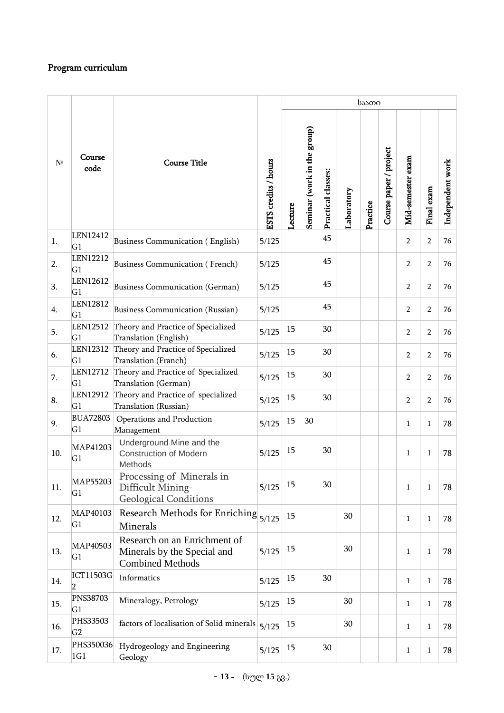# Program curriculum

|             |                                   |                                                                                        |                      | საათი   |                             |                    |            |          |                        |                   |                |                  |
|-------------|-----------------------------------|----------------------------------------------------------------------------------------|----------------------|---------|-----------------------------|--------------------|------------|----------|------------------------|-------------------|----------------|------------------|
| $N^{\circ}$ | Course<br>code                    | <b>Course Title</b>                                                                    | ESTS credits / hours | Lecture | Seminar (work in the group) | Practical classes: | Laboratory | Practice | Course paper / project | Mid-semester exam | Final exam     | Independent work |
| 1.          | LEN12412<br>G1                    | Business Communication (English)                                                       | 5/125                |         |                             | 45                 |            |          |                        | $\overline{2}$    | $\overline{2}$ | 76               |
| 2.          | <b>LEN12212</b><br>G <sub>1</sub> | Business Communication (French)                                                        | 5/125                |         |                             | 45                 |            |          |                        | $\overline{2}$    | $\overline{2}$ | 76               |
| 3.          | LEN12612<br>G1                    | Business Communication (German)                                                        | 5/125                |         |                             | 45                 |            |          |                        | $\overline{2}$    | $\overline{2}$ | 76               |
| 4.          | LEN12812<br>G1                    | Business Communication (Russian)                                                       | 5/125                |         |                             | 45                 |            |          |                        | $\overline{2}$    | $\overline{2}$ | 76               |
| 5.          | LEN12512<br>G1                    | Theory and Practice of Specialized<br>Translation (English)                            | 5/125                | 15      |                             | 30                 |            |          |                        | $\overline{2}$    | $\overline{2}$ | 76               |
| 6.          | LEN12312<br>G1                    | Theory and Practice of Specialized<br>Translation (Franch)                             | 5/125                | 15      |                             | 30                 |            |          |                        | $\overline{2}$    | $\overline{2}$ | 76               |
| 7.          | LEN12712<br>G1                    | Theory and Practice of Specialized<br>Translation (German)                             | 5/125                | 15      |                             | 30                 |            |          |                        | $\overline{2}$    | $\overline{2}$ | 76               |
| 8.          | LEN12912<br>G1                    | Theory and Practice of specialized<br>Translation (Russian)                            | 5/125                | 15      |                             | 30                 |            |          |                        | $\overline{2}$    | $\overline{2}$ | 76               |
| 9.          | <b>BUA72803</b><br>G1             | Operations and Production<br>Management                                                | 5/125                | 15      | 30                          |                    |            |          |                        | $\mathbf{1}$      | $\mathbf{1}$   | 78               |
| 10.         | MAP41203<br>G1                    | Underground Mine and the<br><b>Construction of Modern</b><br>Methods                   | 5/125                | 15      |                             | 30                 |            |          |                        | $\mathbf{1}$      | 1              | 78               |
| 11.         | MAP55203<br>G1                    | Processing of Minerals in<br>Difficult Mining-<br><b>Geological Conditions</b>         | 5/125                | 15      |                             | 30                 |            |          |                        | $\mathbf{1}$      | $\mathbf{1}$   | 78               |
| 12.         | MAP40103<br>G1                    | Research Methods for Enriching<br>Minerals                                             | 5/125                | 15      |                             |                    | 30         |          |                        | $\mathbf{1}$      | $\mathbf{1}$   | 78               |
| 13.         | MAP40503<br>G1                    | Research on an Enrichment of<br>Minerals by the Special and<br><b>Combined Methods</b> | 5/125                | 15      |                             |                    | 30         |          |                        | $\mathbf{1}$      | $\mathbf{1}$   | 78               |
| 14.         | <b>ICT11503G</b><br>2             | Informatics                                                                            | 5/125                | 15      |                             | 30                 |            |          |                        | $\mathbf{1}$      | 1              | 78               |
| 15.         | <b>PNS38703</b><br>G1             | Mineralogy, Petrology                                                                  | 5/125                | 15      |                             |                    | 30         |          |                        | $\mathbf{1}$      | $\mathbf{1}$   | 78               |
| 16.         | <b>PHS33503</b><br>G <sub>2</sub> | factors of localisation of Solid minerals                                              | 5/125                | 15      |                             |                    | 30         |          |                        | $\mathbf{1}$      | 1              | 78               |
| 17.         | PHS350036<br>1G1                  | Hydrogeology and Engineering<br>Geology                                                | 5/125                | 15      |                             | 30                 |            |          |                        | $\mathbf{1}$      | $\mathbf{1}$   | 78               |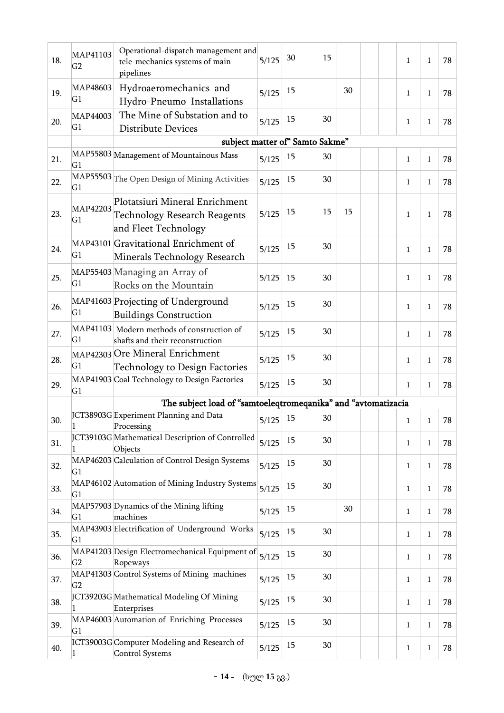| 18. | MAP41103<br>G <sub>2</sub> | Operational-dispatch management and<br>tele-mechanics systems of main<br>pipelines            | 5/125        | 30 | 15 |    |  | 1            | 1              | 78 |
|-----|----------------------------|-----------------------------------------------------------------------------------------------|--------------|----|----|----|--|--------------|----------------|----|
| 19. | MAP48603<br>G1             | Hydroaeromechanics and<br>Hydro-Pneumo Installations                                          | 5/125        | 15 |    | 30 |  | 1            | 1              | 78 |
| 20. | MAP44003<br>G <sub>1</sub> | The Mine of Substation and to<br><b>Distribute Devices</b>                                    | 5/125        | 15 | 30 |    |  | $\mathbf{1}$ | 1              | 78 |
|     |                            | subject matter of "Samto Sakme"                                                               |              |    |    |    |  |              |                |    |
| 21. | G1                         | MAP55803 Management of Mountainous Mass                                                       | 5/125        | 15 | 30 |    |  | $\mathbf{1}$ | 1              | 78 |
| 22. | G1                         | MAP55503 The Open Design of Mining Activities                                                 | 5/125        | 15 | 30 |    |  | 1            | 1              | 78 |
| 23. | MAP42203<br>G1             | Plotatsiuri Mineral Enrichment<br><b>Technology Research Reagents</b><br>and Fleet Technology | 5/125        | 15 | 15 | 15 |  | 1            | 1              | 78 |
| 24. | G <sub>1</sub>             | MAP43101 Gravitational Enrichment of<br>Minerals Technology Research                          | 5/125        | 15 | 30 |    |  | 1            | 1              | 78 |
| 25. | G <sub>1</sub>             | MAP55403 Managing an Array of<br>Rocks on the Mountain                                        | 5/125        | 15 | 30 |    |  | $\mathbf{1}$ | $\mathbf{1}$   | 78 |
| 26. | G1                         | MAP41603 Projecting of Underground<br><b>Buildings Construction</b>                           | 5/125        | 15 | 30 |    |  | $\mathbf{1}$ | 1              | 78 |
| 27. | MAP41103<br>G1             | Modern methods of construction of<br>shafts and their reconstruction                          | 5/125        | 15 | 30 |    |  | $\mathbf{1}$ | 1              | 78 |
| 28. | G1                         | MAP42303 Ore Mineral Enrichment<br>Technology to Design Factories                             | 5/125        | 15 | 30 |    |  | 1            | 1              | 78 |
| 29. | G1                         | MAP41903 Coal Technology to Design Factories                                                  | 5/125        | 15 | 30 |    |  | 1            | 1              | 78 |
|     |                            | The subject load of "samtoeleqtromeqanika" and "avtomatizacia                                 |              |    |    |    |  |              |                |    |
| 30. | 1                          | JCT38903G Experiment Planning and Data<br>Processing                                          | $5/125$ $15$ |    | 30 |    |  | -1           | $\overline{1}$ | 78 |
| 31. |                            | JCT39103G Mathematical Description of Controlled<br>Objects                                   | 5/125        | 15 | 30 |    |  | $\mathbf{1}$ | $\mathbf{1}$   | 78 |
| 32. | G1                         | MAP46203 Calculation of Control Design Systems                                                | 5/125        | 15 | 30 |    |  | $\mathbf{1}$ | $\mathbf{1}$   | 78 |
| 33. | G1                         | MAP46102 Automation of Mining Industry Systems                                                | 5/125        | 15 | 30 |    |  | $\mathbf{1}$ | $\mathbf{1}$   | 78 |
| 34. | G <sub>1</sub>             | MAP57903 Dynamics of the Mining lifting<br>machines                                           | 5/125        | 15 |    | 30 |  | $\mathbf{1}$ | $\mathbf{1}$   | 78 |
| 35. | G <sub>1</sub>             | MAP43903 Electrification of Underground Works                                                 | 5/125        | 15 | 30 |    |  | $\mathbf{1}$ | $\mathbf{1}$   | 78 |
| 36. | G2                         | MAP41203 Design Electromechanical Equipment of<br>Ropeways                                    | 5/125        | 15 | 30 |    |  | $\mathbf{1}$ | $\mathbf{1}$   | 78 |
| 37. | G2                         | MAP41303 Control Systems of Mining machines                                                   | 5/125        | 15 | 30 |    |  | $\mathbf{1}$ | 1              | 78 |
| 38. | 1                          | JCT39203G Mathematical Modeling Of Mining<br>Enterprises                                      | 5/125        | 15 | 30 |    |  | $\mathbf{1}$ | $\mathbf{1}$   | 78 |
| 39. | G1                         | MAP46003 Automation of Enriching Processes                                                    | 5/125        | 15 | 30 |    |  | $\mathbf{1}$ | $\mathbf{1}$   | 78 |
| 40. | 1                          | ICT39003G Computer Modeling and Research of<br>Control Systems                                | 5/125        | 15 | 30 |    |  | $\mathbf{1}$ | $\mathbf{1}$   | 78 |